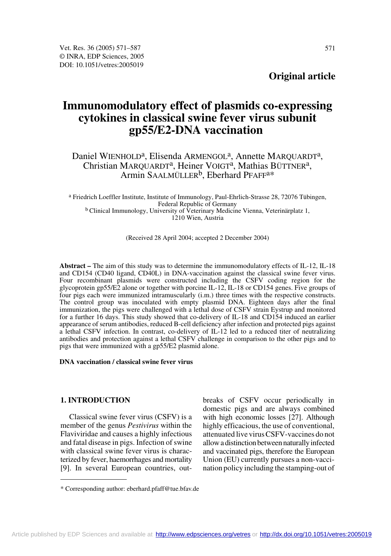**Original article**

# **Immunomodulatory effect of plasmids co-expressing cytokines in classical swine fever virus subunit gp55/E2-DNA vaccination**

# Daniel WIENHOLD<sup>a</sup>, Elisenda ARMENGOL<sup>a</sup>, Annette MARQUARDT<sup>a</sup>, Christian MARQUARDT<sup>a</sup>, Heiner VOIGT<sup>a</sup>, Mathias BÜTTNER<sup>a</sup>, Armin SAALMÜLLER<sup>b</sup>, Eberhard PFAFF<sup>a\*</sup>

a Friedrich Loeffler Institute, Institute of Immunology, Paul-Ehrlich-Strasse 28, 72076 Tübingen, Federal Republic of Germany b Clinical Immunology, University of Veterinary Medicine Vienna, Veterinärplatz 1, 1210 Wien, Austria

(Received 28 April 2004; accepted 2 December 2004)

**Abstract –** The aim of this study was to determine the immunomodulatory effects of IL-12, IL-18 and CD154 (CD40 ligand, CD40L) in DNA-vaccination against the classical swine fever virus. Four recombinant plasmids were constructed including the CSFV coding region for the glycoprotein gp55/E2 alone or together with porcine IL-12, IL-18 or CD154 genes. Five groups of four pigs each were immunized intramuscularly (i.m.) three times with the respective constructs. The control group was inoculated with empty plasmid DNA. Eighteen days after the final immunization, the pigs were challenged with a lethal dose of CSFV strain Eystrup and monitored for a further 16 days. This study showed that co-delivery of IL-18 and CD154 induced an earlier appearance of serum antibodies, reduced B-cell deficiency after infection and protected pigs against a lethal CSFV infection. In contrast, co-delivery of IL-12 led to a reduced titer of neutralizing antibodies and protection against a lethal CSFV challenge in comparison to the other pigs and to pigs that were immunized with a gp55/E2 plasmid alone.

## **DNA vaccination / classical swine fever virus**

## **1. INTRODUCTION**

Classical swine fever virus (CSFV) is a member of the genus *Pestivirus* within the Flaviviridae and causes a highly infectious and fatal disease in pigs. Infection of swine with classical swine fever virus is characterized by fever, haemorrhages and mortality [9]. In several European countries, outbreaks of CSFV occur periodically in domestic pigs and are always combined with high economic losses [27]. Although highly efficacious, the use of conventional, attenuated live virus CSFV-vaccines do not allow a distinction between naturally infected and vaccinated pigs, therefore the European Union (EU) currently pursues a non-vaccination policy including the stamping-out of

<sup>\*</sup> Corresponding author: eberhard.pfaff@tue.bfav.de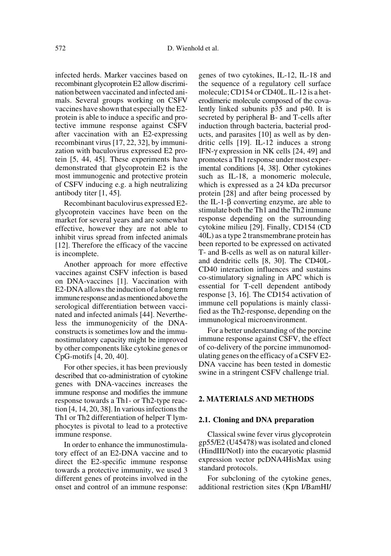infected herds. Marker vaccines based on recombinant glycoprotein E2 allow discrimination between vaccinated and infected animals. Several groups working on CSFV vaccines have shown that especially the E2 protein is able to induce a specific and protective immune response against CSFV after vaccination with an E2-expressing recombinant virus [17, 22, 32], by immunization with baculovirus expressed E2 protein [5, 44, 45]. These experiments have demonstrated that glycoprotein E2 is the most immunogenic and protective protein of CSFV inducing e.g. a high neutralizing antibody titer [1, 45].

Recombinant baculovirus expressed E2 glycoprotein vaccines have been on the market for several years and are somewhat effective, however they are not able to inhibit virus spread from infected animals [12]. Therefore the efficacy of the vaccine is incomplete.

Another approach for more effective vaccines against CSFV infection is based on DNA-vaccines [1]. Vaccination with E2-DNA allows the induction of a long term immune response and as mentioned above the serological differentiation between vaccinated and infected animals [44]. Nevertheless the immunogenicity of the DNAconstructs is sometimes low and the immunostimulatory capacity might be improved by other components like cytokine genes or CpG-motifs [4, 20, 40].

For other species, it has been previously described that co-administration of cytokine genes with DNA-vaccines increases the immune response and modifies the immune response towards a Th1- or Th2-type reaction [4, 14, 20, 38]. In various infections the Th1 or Th2 differentiation of helper T lymphocytes is pivotal to lead to a protective immune response.

In order to enhance the immunostimulatory effect of an E2-DNA vaccine and to direct the E2-specific immune response towards a protective immunity, we used 3 different genes of proteins involved in the onset and control of an immune response: genes of two cytokines, IL-12, IL-18 and the sequence of a regulatory cell surface molecule; CD154 or CD40L. IL-12 is a heterodimeric molecule composed of the covalently linked subunits p35 and p40. It is secreted by peripheral B- and T-cells after induction through bacteria, bacterial products, and parasites [10] as well as by dendritic cells [19]. IL-12 induces a strong IFN-γ expression in NK cells [24, 49] and promotes a Th1 response under most experimental conditions [4, 38]. Other cytokines such as IL-18, a monomeric molecule, which is expressed as a 24 kDa precursor protein [28] and after being processed by the IL-1-β converting enzyme, are able to stimulate both the Th1 and the Th2 immune response depending on the surrounding cytokine milieu [29]. Finally, CD154 (CD 40L) as a type 2 transmembrane protein has been reported to be expressed on activated T- and B-cells as well as on natural killerand dendritic cells [8, 30]. The CD40L-CD40 interaction influences and sustains co-stimulatory signaling in APC which is essential for T-cell dependent antibody response [3, 16]. The CD154 activation of immune cell populations is mainly classified as the Th2-response, depending on the immunological microenvironment.

For a better understanding of the porcine immune response against CSFV, the effect of co-delivery of the porcine immunomodulating genes on the efficacy of a CSFV E2- DNA vaccine has been tested in domestic swine in a stringent CSFV challenge trial.

## **2. MATERIALS AND METHODS**

#### **2.1. Cloning and DNA preparation**

Classical swine fever virus glycoprotein gp55/E2 (U45478) was isolated and cloned (HindIII/NotI) into the eucaryotic plasmid expression vector pcDNA4HisMax using standard protocols.

For subcloning of the cytokine genes, additional restriction sites (Kpn I/BamHI/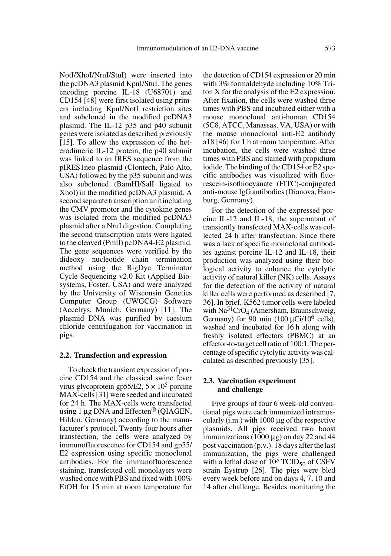NotI/XhoI/NruI/StuI) were inserted into the pcDNA3 plasmid KpnI/StuI. The genes encoding porcine IL-18 (U68701) and CD154 [48] were first isolated using primers including KpnI/NotI restriction sites and subcloned in the modified pcDNA3 plasmid. The IL-12 p35 and p40 subunit genes were isolated as described previously [15]. To allow the expression of the heterodimeric IL-12 protein, the p40 subunit was linked to an IRES sequence from the pIRES1neo plasmid (Clontech, Palo Alto, USA) followed by the p35 subunit and was also subcloned (BamHI/SalI ligated to XhoI) in the modified pcDNA3 plasmid. A second separate transcription unit including the CMV promotor and the cytokine genes was isolated from the modified pcDNA3 plasmid after a NruI digestion. Completing the second transcription units were ligated to the cleaved (PmlI) pcDNA4-E2 plasmid. The gene sequences were verified by the dideoxy nucleotide chain termination method using the BigDye Terminator Cycle Sequencing v2.0 Kit (Applied Biosystems, Foster, USA) and were analyzed by the University of Wisconsin Genetics Computer Group (UWGCG) Software (Accelrys, Munich, Germany) [11]. The plasmid DNA was purified by caesium chloride centrifugation for vaccination in pigs.

#### **2.2. Transfection and expression**

To check the transient expression of porcine CD154 and the classical swine fever virus glycoprotein gp55/E2,  $5 \times 10^5$  porcine MAX-cells [31] were seeded and incubated for 24 h. The MAX-cells were transfected using 1  $\mu$ g DNA and Effecten<sup>®</sup> (QIAGEN, Hilden, Germany) according to the manufacturer's protocol. Twenty-four hours after transfection, the cells were analyzed by immunofluorescence for CD154 and gp55/ E2 expression using specific monoclonal antibodies. For the immunofluorescence staining, transfected cell monolayers were washed once with PBS and fixed with 100% EtOH for 15 min at room temperature for the detection of CD154 expression or 20 min with 3% formaldehyde including 10% Triton X for the analysis of the E2 expression. After fixation, the cells were washed three times with PBS and incubated either with a mouse monoclonal anti-human CD154 (5C8, ATCC, Manassas, VA, USA) or with the mouse monoclonal anti-E2 antibody a18 [46] for 1 h at room temperature. After incubation, the cells were washed three times with PBS and stained with propidium iodide. The binding of the CD154 or E2 specific antibodies was visualized with fluorescein-isothiocyanate (FITC)-conjugated anti-mouse IgG antibodies (Dianova, Hamburg, Germany).

For the detection of the expressed porcine IL-12 and IL-18, the supernatant of transiently transfected MAX-cells was collected 24 h after transfection. Since there was a lack of specific monoclonal antibodies against porcine IL-12 and IL-18, their production was analyzed using their biological activity to enhance the cytolytic activity of natural killer (NK) cells. Assays for the detection of the activity of natural killer cells were performed as described [7, 36]. In brief, K562 tumor cells were labeled with  $Na^{51}CrO<sub>4</sub>$  (Amersham, Braunschweig, Germany) for 90 min  $(100 \mu \text{Ci}/10^6 \text{ cells})$ , washed and incubated for 16 h along with freshly isolated effectors (PBMC) at an effector-to-target cell ratio of 100:1. The percentage of specific cytolytic activity was calculated as described previously [35].

## **2.3. Vaccination experiment and challenge**

Five groups of four 6 week-old conventional pigs were each immunized intramuscularly (i.m.) with 1000 µg of the respective plasmids. All pigs received two boost immunizations (1000  $\mu$ g) on day 22 and 44 post vaccination (p.v.). 18 days after the last immunization, the pigs were challenged with a lethal dose of  $10^5$  TCID<sub>50</sub> of CSFV strain Eystrup [26]. The pigs were bled every week before and on days 4, 7, 10 and 14 after challenge. Besides monitoring the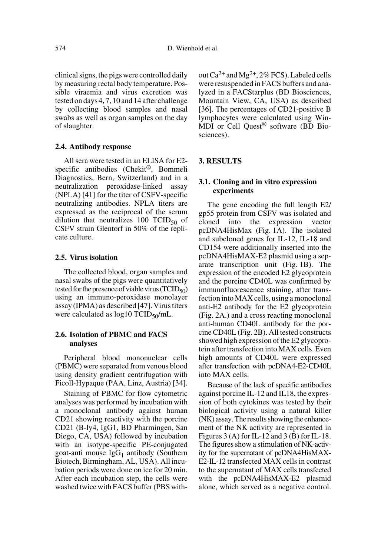clinical signs, the pigs were controlled daily by measuring rectal body temperature. Possible viraemia and virus excretion was tested on days 4, 7, 10 and 14 after challenge by collecting blood samples and nasal swabs as well as organ samples on the day of slaughter.

## **2.4. Antibody response**

All sera were tested in an ELISA for E2 specific antibodies (Chekit<sup>®</sup>, Bommeli Diagnostics, Bern, Switzerland) and in a neutralization peroxidase-linked assay (NPLA) [41] for the titer of CSFV-specific neutralizing antibodies. NPLA titers are expressed as the reciprocal of the serum dilution that neutralizes  $100$  TCID<sub>50</sub> of CSFV strain Glentorf in 50% of the replicate culture.

## **2.5. Virus isolation**

The collected blood, organ samples and nasal swabs of the pigs were quantitatively tested for the presence of viable virus (TCID $_{50}$ ) using an immuno-peroxidase monolayer assay (IPMA) as described [47]. Virus titers were calculated as  $\log 10 \text{ TCID}_{50}/\text{mL}$ .

# **2.6. Isolation of PBMC and FACS analyses**

Peripheral blood mononuclear cells (PBMC) were separated from venous blood using density gradient centrifugation with Ficoll-Hypaque (PAA, Linz, Austria) [34].

Staining of PBMC for flow cytometric analyses was performed by incubation with a monoclonal antibody against human CD21 showing reactivity with the porcine CD21 (B-ly4, IgG1, BD Pharmingen, San Diego, CA, USA) followed by incubation with an isotype-specific PE-conjugated goat-anti mouse  $IgG_1$  antibody (Southern Biotech, Birmingham, AL, USA). All incubation periods were done on ice for 20 min. After each incubation step, the cells were washed twice with FACS buffer (PBS without  $Ca^{2+}$  and  $Mg^{2+}$ , 2% FCS). Labeled cells were resuspended in FACS buffers and analyzed in a FACStarplus (BD Biosciences, Mountain View, CA, USA) as described [36]. The percentages of CD21-positive B lymphocytes were calculated using Win-MDI or Cell Quest® software (BD Biosciences).

## **3. RESULTS**

## **3.1. Cloning and in vitro expression experiments**

The gene encoding the full length E2/ gp55 protein from CSFV was isolated and cloned into the expression vector pcDNA4HisMax (Fig. 1A). The isolated and subcloned genes for IL-12, IL-18 and CD154 were additionally inserted into the pcDNA4HisMAX-E2 plasmid using a separate transcription unit (Fig. 1B). The expression of the encoded E2 glycoprotein and the porcine CD40L was confirmed by immunofluorescence staining, after transfection into MAX cells, using a monoclonal anti-E2 antibody for the E2 glycoprotein (Fig. 2A.) and a cross reacting monoclonal anti-human CD40L antibody for the porcine CD40L (Fig. 2B). All tested constructs showed high expression of the E2 glycoprotein after transfection into MAX cells. Even high amounts of CD40L were expressed after transfection with pcDNA4-E2-CD40L into MAX cells.

Because of the lack of specific antibodies against porcine IL-12 and IL18, the expression of both cytokines was tested by their biological activity using a natural killer (NK) assay. The results showing the enhancement of the NK activity are represented in Figures 3 (A) for IL-12 and 3 (B) for IL-18. The figures show a stimulation of NK-activity for the supernatant of pcDNA4HisMAX-E2-IL-12 transfected MAX cells in contrast to the supernatant of MAX cells transfected with the pcDNA4HisMAX-E2 plasmid alone, which served as a negative control.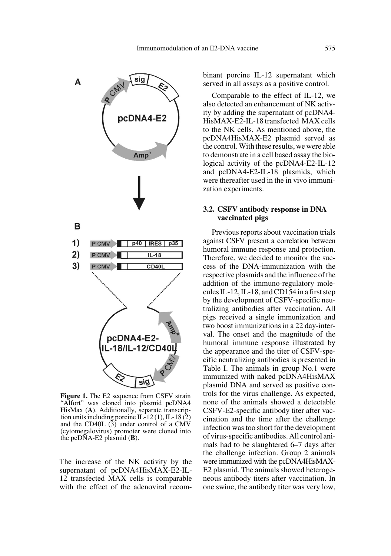

**Figure 1.** The E2 sequence from CSFV strain "Alfort" was cloned into plasmid pcDNA4 HisMax (**A**). Additionally, separate transcription units including porcine IL-12 (1), IL-18 (2) and the CD40L  $(3)$  under control of a CMV (cytomegalovirus) promoter were cloned into the pcDNA-E2 plasmid (**B**).

The increase of the NK activity by the supernatant of pcDNA4HisMAX-E2-IL-12 transfected MAX cells is comparable with the effect of the adenoviral recombinant porcine IL-12 supernatant which served in all assays as a positive control.

Comparable to the effect of IL-12, we also detected an enhancement of NK activity by adding the supernatant of pcDNA4- HisMAX-E2-IL-18 transfected MAX cells to the NK cells. As mentioned above, the pcDNA4HisMAX-E2 plasmid served as the control. With these results, we were able to demonstrate in a cell based assay the biological activity of the pcDNA4-E2-IL-12 and pcDNA4-E2-IL-18 plasmids, which were thereafter used in the in vivo immunization experiments.

## **3.2. CSFV antibody response in DNA vaccinated pigs**

Previous reports about vaccination trials against CSFV present a correlation between humoral immune response and protection. Therefore, we decided to monitor the success of the DNA-immunization with the respective plasmids and the influence of the addition of the immuno-regulatory molecules IL-12, IL-18, and CD154 in a first step by the development of CSFV-specific neutralizing antibodies after vaccination. All pigs received a single immunization and two boost immunizations in a 22 day-interval. The onset and the magnitude of the humoral immune response illustrated by the appearance and the titer of CSFV-specific neutralizing antibodies is presented in Table I. The animals in group No.1 were immunized with naked pcDNA4HisMAX plasmid DNA and served as positive controls for the virus challenge. As expected, none of the animals showed a detectable CSFV-E2-specific antibody titer after vaccination and the time after the challenge infection was too short for the development of virus-specific antibodies. All control animals had to be slaughtered 6–7 days after the challenge infection. Group 2 animals were immunized with the pcDNA4HisMAX-E2 plasmid. The animals showed heterogeneous antibody titers after vaccination. In one swine, the antibody titer was very low,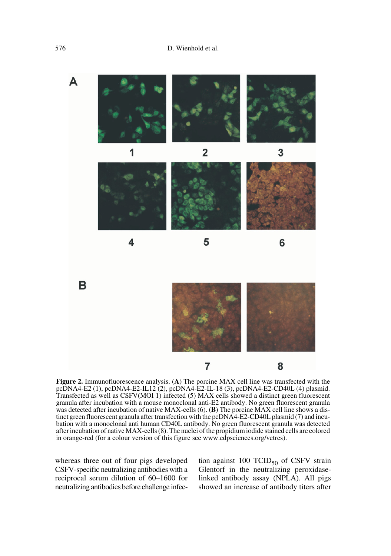

**Figure 2.** Immunofluorescence analysis. (**A**) The porcine MAX cell line was transfected with the pcDNA4-E2 (1), pcDNA4-E2-IL12 (2), pcDNA4-E2-IL-18 (3), pcDNA4-E2-CD40L (4) plasmid. Transfected as well as CSFV(MOI 1) infected (5) MAX cells showed a distinct green fluorescent granula after incubation with a mouse monoclonal anti-E2 antibody. No green fluorescent granula was detected after incubation of native MAX-cells (6). (**B**) The porcine MAX cell line shows a distinct green fluorescent granula after transfection with the pcDNA4-E2-CD40L plasmid (7) and incubation with a monoclonal anti human CD40L antibody. No green fluorescent granula was detected after incubation of native MAX-cells (8). The nuclei of the propidium iodide stained cells are colored in orange-red (for a colour version of this figure see www.edpsciences.org/vetres).

whereas three out of four pigs developed CSFV-specific neutralizing antibodies with a reciprocal serum dilution of 60–1600 for neutralizing antibodies before challenge infection against 100 TCID $_{50}$  of CSFV strain Glentorf in the neutralizing peroxidaselinked antibody assay (NPLA). All pigs showed an increase of antibody titers after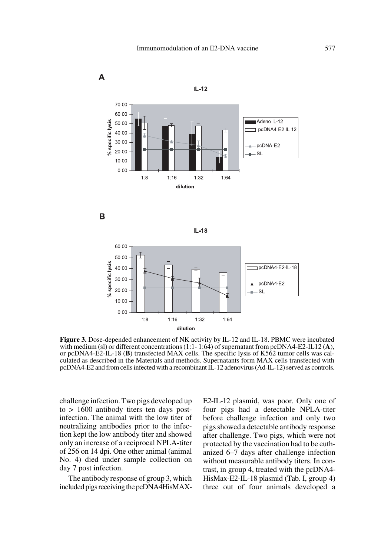







**Figure 3.** Dose-depended enhancement of NK activity by IL-12 and IL-18. PBMC were incubated with medium (sl) or different concentrations (1:1- 1:64) of supernatant from pcDNA4-E2-IL12 (**A**), or pcDNA4-E2-IL-18 (**B**) transfected MAX cells. The specific lysis of K562 tumor cells was calculated as described in the Materials and methods. Supernatants form MAX cells transfected with pcDNA4-E2 and from cells infected with a recombinant IL-12 adenovirus (Ad-IL-12) served as controls.

challenge infection. Two pigs developed up to > 1600 antibody titers ten days postinfection. The animal with the low titer of neutralizing antibodies prior to the infection kept the low antibody titer and showed only an increase of a reciprocal NPLA-titer of 256 on 14 dpi. One other animal (animal No. 4) died under sample collection on day 7 post infection.

The antibody response of group 3, which included pigs receiving the pcDNA4HisMAX-

E2-IL-12 plasmid, was poor. Only one of four pigs had a detectable NPLA-titer before challenge infection and only two pigs showed a detectable antibody response after challenge. Two pigs, which were not protected by the vaccination had to be euthanized 6–7 days after challenge infection without measurable antibody titers. In contrast, in group 4, treated with the pcDNA4- HisMax-E2-IL-18 plasmid (Tab. I, group 4) three out of four animals developed a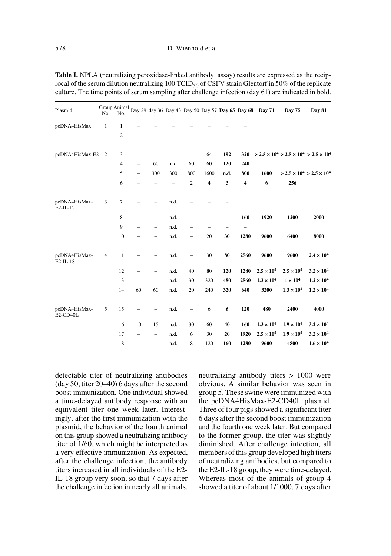| Plasmid                      | No.            | Group Animal<br>No. |                          |                          |      |                          |                |      |                          | Day 29 day 36 Day 43 Day 50 Day 57 Day 65 Day 68 Day 71 | Day 75                                                                                             | Day 81                                                            |
|------------------------------|----------------|---------------------|--------------------------|--------------------------|------|--------------------------|----------------|------|--------------------------|---------------------------------------------------------|----------------------------------------------------------------------------------------------------|-------------------------------------------------------------------|
| pcDNA4HisMax                 | $\mathbf{1}$   | $\mathbf{1}$        |                          |                          |      |                          |                |      |                          |                                                         |                                                                                                    |                                                                   |
|                              |                | 2                   |                          |                          |      |                          |                |      |                          |                                                         |                                                                                                    |                                                                   |
| pcDNA4HisMax-E2              | $\overline{2}$ | 3                   |                          |                          |      |                          | 64             | 192  | 320                      |                                                         | $>$ 2.5 $\times$ 10 <sup>4</sup> $>$ 2.5 $\times$ 10 <sup>4</sup> $>$ 2.5 $\times$ 10 <sup>4</sup> |                                                                   |
|                              |                | 4                   | $\overline{\phantom{0}}$ | 60                       | n.d  | 60                       | 60             | 120  | 240                      |                                                         |                                                                                                    |                                                                   |
|                              |                | 5                   | $\overline{\phantom{0}}$ | 300                      | 300  | 800                      | 1600           | n.d. | 800                      | 1600                                                    |                                                                                                    | $>$ 2.5 $\times$ 10 <sup>4</sup> $>$ 2.5 $\times$ 10 <sup>4</sup> |
|                              |                | 6                   |                          | -                        | -    | $\overline{c}$           | $\overline{4}$ | 3    | $\overline{\mathbf{4}}$  | 6                                                       | 256                                                                                                |                                                                   |
| pcDNA4HisMax-<br>$E2$ -IL-12 | 3              | 7                   |                          |                          | n.d. |                          |                |      |                          |                                                         |                                                                                                    |                                                                   |
|                              |                | 8                   |                          | -                        | n.d. |                          |                | ۳    | 160                      | 1920                                                    | 1200                                                                                               | 2000                                                              |
|                              |                | 9                   |                          | $\overline{\phantom{0}}$ | n.d. |                          |                |      | $\overline{\phantom{0}}$ |                                                         |                                                                                                    |                                                                   |
|                              |                | 10                  |                          | $\overline{\phantom{0}}$ | n.d. | $\overline{\phantom{0}}$ | 20             | 30   | 1280                     | 9600                                                    | 6400                                                                                               | 8000                                                              |
| pcDNA4HisMax-<br>$E2-IL-18$  | $\overline{4}$ | 11                  |                          | $\overline{\phantom{0}}$ | n.d. | $\overline{\phantom{0}}$ | 30             | 80   | 2560                     | 9600                                                    | 9600                                                                                               | $2.4 \times 10^{4}$                                               |
|                              |                | 12                  |                          | $\overline{\phantom{0}}$ | n.d. | 40                       | 80             | 120  | 1280                     | $2.5 \times 10^{4}$                                     | $2.5 \times 10^{4}$                                                                                | $3.2 \times 10^{4}$                                               |
|                              |                | 13                  |                          | $\overline{\phantom{0}}$ | n.d. | 30                       | 320            | 480  | 2560                     | $1.3 \times 10^{4}$                                     | $1 \times 10^4$                                                                                    | $1.2 \times 10^{4}$                                               |
|                              |                | 14                  | 60                       | 60                       | n.d. | 20                       | 240            | 320  | 640                      | 3200                                                    | $1.3 \times 10^{4}$                                                                                | $1.2 \times 10^{4}$                                               |
| pcDNA4HisMax-<br>E2-CD40L    | 5              | 15                  | $\overline{\phantom{0}}$ |                          | n.d. | $\overline{\phantom{0}}$ | 6              | 6    | 120                      | 480                                                     | 2400                                                                                               | 4000                                                              |
|                              |                | 16                  | 10                       | 15                       | n.d. | 30                       | 60             | 40   | 160                      | $1.3 \times 10^{4}$                                     | $1.9 \times 10^{4}$                                                                                | $3.2 \times 10^{4}$                                               |
|                              |                | 17                  | -                        | $\overline{\phantom{0}}$ | n.d. | 6                        | 30             | 20   | 1920                     | $2.5 \times 10^{4}$                                     | $1.9 \times 10^{4}$                                                                                | $3.2 \times 10^{4}$                                               |
|                              |                | 18                  | $\qquad \qquad -$        | $\overline{\phantom{0}}$ | n.d. | 8                        | 120            | 160  | 1280                     | 9600                                                    | 4800                                                                                               | $1.6 \times 10^{4}$                                               |

**Table I.** NPLA (neutralizing peroxidase-linked antibody assay) results are expressed as the reciprocal of the serum dilution neutralizing  $100$  TCID<sub>50</sub> of CSFV strain Glentorf in 50% of the replicate culture. The time points of serum sampling after challenge infection (day 61) are indicated in bold.

detectable titer of neutralizing antibodies (day 50, titer 20–40) 6 days after the second boost immunization. One individual showed a time-delayed antibody response with an equivalent titer one week later. Interestingly, after the first immunization with the plasmid, the behavior of the fourth animal on this group showed a neutralizing antibody titer of 1/60, which might be interpreted as a very effective immunization. As expected, after the challenge infection, the antibody titers increased in all individuals of the E2- IL-18 group very soon, so that 7 days after the challenge infection in nearly all animals, neutralizing antibody titers > 1000 were obvious. A similar behavior was seen in group 5. These swine were immunized with the pcDNA4HisMax-E2-CD40L plasmid. Three of four pigs showed a significant titer 6 days after the second boost immunization and the fourth one week later. But compared to the former group, the titer was slightly diminished. After challenge infection, all members of this group developed high titers of neutralizing antibodies, but compared to the E2-IL-18 group, they were time-delayed. Whereas most of the animals of group 4 showed a titer of about 1/1000, 7 days after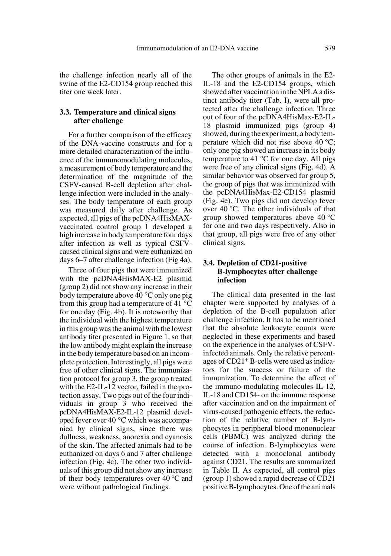the challenge infection nearly all of the swine of the E2-CD154 group reached this titer one week later.

## **3.3. Temperature and clinical signs after challenge**

For a further comparison of the efficacy of the DNA-vaccine constructs and for a more detailed characterization of the influence of the immunomodulating molecules, a measurement of body temperature and the determination of the magnitude of the CSFV-caused B-cell depletion after challenge infection were included in the analyses. The body temperature of each group was measured daily after challenge. As expected, all pigs of the pcDNA4HisMAXvaccinated control group 1 developed a high increase in body temperature four days after infection as well as typical CSFVcaused clinical signs and were euthanized on days 6–7 after challenge infection (Fig 4a).

Three of four pigs that were immunized with the pcDNA4HisMAX-E2 plasmid (group 2) did not show any increase in their body temperature above 40 °C only one pig from this group had a temperature of 41 °C for one day (Fig. 4b). It is noteworthy that the individual with the highest temperature in this group was the animal with the lowest antibody titer presented in Figure 1, so that the low antibody might explain the increase in the body temperature based on an incomplete protection. Interestingly, all pigs were free of other clinical signs. The immunization protocol for group 3, the group treated with the E2-IL-12 vector, failed in the protection assay. Two pigs out of the four individuals in group 3 who received the pcDNA4HisMAX-E2-IL-12 plasmid developed fever over 40 °C which was accompanied by clinical signs, since there was dullness, weakness, anorexia and cyanosis of the skin. The affected animals had to be euthanized on days 6 and 7 after challenge infection (Fig. 4c). The other two individuals of this group did not show any increase of their body temperatures over 40 °C and were without pathological findings.

The other groups of animals in the E2- IL-18 and the E2-CD154 groups, which showed after vaccination in the NPLA a distinct antibody titer (Tab. I), were all protected after the challenge infection. Three out of four of the pcDNA4HisMax-E2-IL-18 plasmid immunized pigs (group 4) showed, during the experiment, a body temperature which did not rise above 40 °C; only one pig showed an increase in its body temperature to 41  $^{\circ}$ C for one day. All pigs were free of any clinical signs (Fig. 4d). A similar behavior was observed for group 5, the group of pigs that was immunized with the pcDNA4HisMax-E2-CD154 plasmid (Fig. 4e). Two pigs did not develop fever over 40 °C. The other individuals of that group showed temperatures above 40 °C for one and two days respectively. Also in that group, all pigs were free of any other clinical signs.

# **3.4. Depletion of CD21-positive B-lymphocytes after challenge infection**

The clinical data presented in the last chapter were supported by analyses of a depletion of the B-cell population after challenge infection. It has to be mentioned that the absolute leukocyte counts were neglected in these experiments and based on the experience in the analyses of CSFVinfected animals. Only the relative percentages of CD21+ B-cells were used as indicators for the success or failure of the immunization. To determine the effect of the immuno-modulating molecules-IL-12, IL-18 and CD154- on the immune response after vaccination and on the impairment of virus-caused pathogenic effects, the reduction of the relative number of B-lymphocytes in peripheral blood mononuclear cells (PBMC) was analyzed during the course of infection. B-lymphocytes were detected with a monoclonal antibody against CD21. The results are summarized in Table II. As expected, all control pigs (group 1) showed a rapid decrease of CD21 positive B-lymphocytes. One of the animals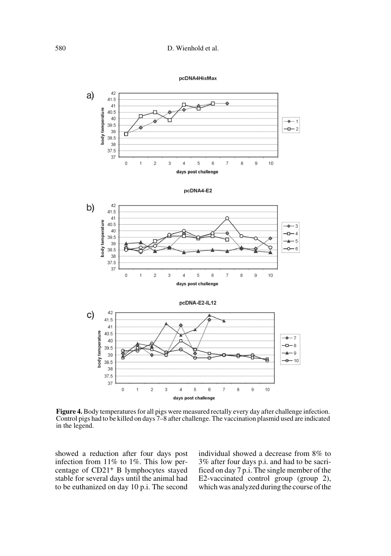



**Figure 4.** Body temperatures for all pigs were measured rectally every day after challenge infection. Control pigs had to be killed on days 7–8 after challenge. The vaccination plasmid used are indicated in the legend.

showed a reduction after four days post infection from 11% to 1%. This low percentage of CD21+ B lymphocytes stayed stable for several days until the animal had to be euthanized on day 10 p.i. The second individual showed a decrease from 8% to 3% after four days p.i. and had to be sacrificed on day 7 p.i. The single member of the E2-vaccinated control group (group 2), which was analyzed during the course of the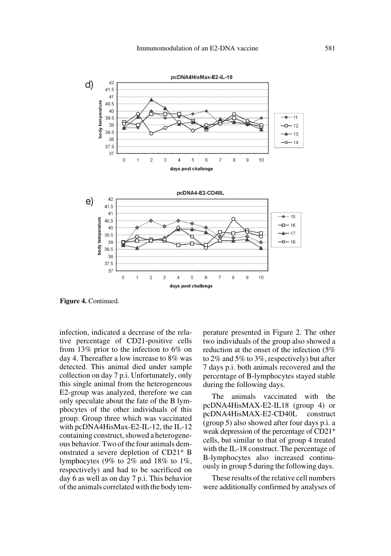

**Figure 4.** Continued.

infection, indicated a decrease of the relative percentage of CD21-positive cells from 13% prior to the infection to 6% on day 4. Thereafter a low increase to 8% was detected. This animal died under sample collection on day 7 p.i. Unfortunately, only this single animal from the heterogeneous E2-group was analyzed, therefore we can only speculate about the fate of the B lymphocytes of the other individuals of this group. Group three which was vaccinated with pcDNA4HisMax-E2-IL-12, the IL-12 containing construct, showed a heterogeneous behavior. Two of the four animals demonstrated a severe depletion of CD21+ B lymphocytes (9% to 2% and 18% to 1%, respectively) and had to be sacrificed on day 6 as well as on day 7 p.i. This behavior of the animals correlated with the body temperature presented in Figure 2. The other two individuals of the group also showed a reduction at the onset of the infection (5% to 2% and 5% to 3%, respectively) but after 7 days p.i. both animals recovered and the percentage of B-lymphocytes stayed stable during the following days.

The animals vaccinated with the pcDNA4HisMAX-E2-IL18 (group 4) or pcDNA4HisMAX-E2-CD40L construct (group 5) also showed after four days p.i. a weak depression of the percentage of CD21+ cells, but similar to that of group 4 treated with the IL-18 construct. The percentage of B-lymphocytes also increased continuously in group 5 during the following days.

These results of the relative cell numbers were additionally confirmed by analyses of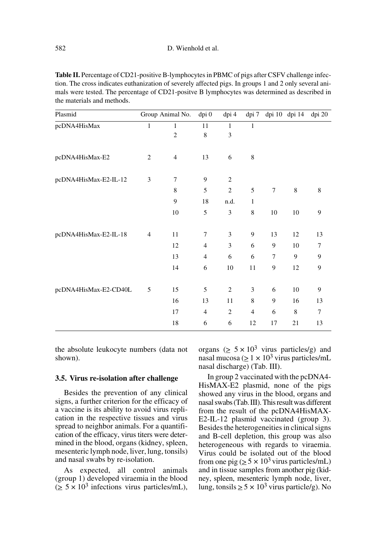Table II. Percentage of CD21-positive B-lymphocytes in PBMC of pigs after CSFV challenge infection. The cross indicates euthanization of severely affected pigs. In groups 1 and 2 only several animals were tested. The percentage of CD21-positve B lymphocytes was determined as described in the materials and methods.

| Plasmid               |                | Group Animal No. | dpi 0          | dpi 4          | dpi 7          |                | dpi 10 dpi 14 | dpi 20         |
|-----------------------|----------------|------------------|----------------|----------------|----------------|----------------|---------------|----------------|
| pcDNA4HisMax          | $\mathbf{1}$   | $\mathbf{1}$     | 11             | $\mathbf{1}$   | $\mathbf{1}$   |                |               |                |
|                       |                | $\overline{2}$   | 8              | 3              |                |                |               |                |
| pcDNA4HisMax-E2       | $\overline{c}$ | $\overline{4}$   | 13             | 6              | 8              |                |               |                |
| pcDNA4HisMax-E2-IL-12 | 3              | 7                | 9              | $\overline{2}$ |                |                |               |                |
|                       |                | 8                | 5              | $\overline{2}$ | 5              | $\overline{7}$ | $\,$ 8 $\,$   | 8              |
|                       |                | 9                | 18             | n.d.           | 1              |                |               |                |
|                       |                | 10               | 5              | 3              | 8              | 10             | 10            | 9              |
| pcDNA4HisMax-E2-IL-18 | $\overline{4}$ | 11               | 7              | 3              | 9              | 13             | 12            | 13             |
|                       |                | 12               | $\overline{4}$ | 3              | 6              | 9              | 10            | 7              |
|                       |                | 13               | $\overline{4}$ | 6              | 6              | $\overline{7}$ | 9             | 9              |
|                       |                | 14               | 6              | $10\,$         | 11             | 9              | 12            | 9              |
| pcDNA4HisMax-E2-CD40L | 5              | 15               | 5              | $\overline{2}$ | 3              | 6              | 10            | 9              |
|                       |                | 16               | 13             | 11             | 8              | 9              | 16            | 13             |
|                       |                | 17               | $\overline{4}$ | $\overline{2}$ | $\overline{4}$ | 6              | 8             | $\overline{7}$ |
|                       |                | 18               | 6              | 6              | 12             | 17             | 21            | 13             |

the absolute leukocyte numbers (data not shown).

### **3.5. Virus re-isolation after challenge**

Besides the prevention of any clinical signs, a further criterion for the efficacy of a vaccine is its ability to avoid virus replication in the respective tissues and virus spread to neighbor animals. For a quantification of the efficacy, virus titers were determined in the blood, organs (kidney, spleen, mesenteric lymph node, liver, lung, tonsils) and nasal swabs by re-isolation.

As expected, all control animals (group 1) developed viraemia in the blood  $(2.5 \times 10^3$  infections virus particles/mL),

organs ( $\geq 5 \times 10^3$  virus particles/g) and nasal mucosa ( $\geq 1 \times 10^3$  virus particles/mL nasal discharge) (Tab. III).

In group 2 vaccinated with the pcDNA4- HisMAX-E2 plasmid, none of the pigs showed any virus in the blood, organs and nasal swabs (Tab. III). This result was different from the result of the pcDNA4HisMAX-E2-IL-12 plasmid vaccinated (group 3). Besides the heterogeneities in clinical signs and B-cell depletion, this group was also heterogeneous with regards to viraemia. Virus could be isolated out of the blood from one pig ( $\geq 5 \times 10^3$  virus particles/mL) and in tissue samples from another pig (kidney, spleen, mesenteric lymph node, liver, lung, tonsils  $\geq 5 \times 10^3$  virus particle/g). No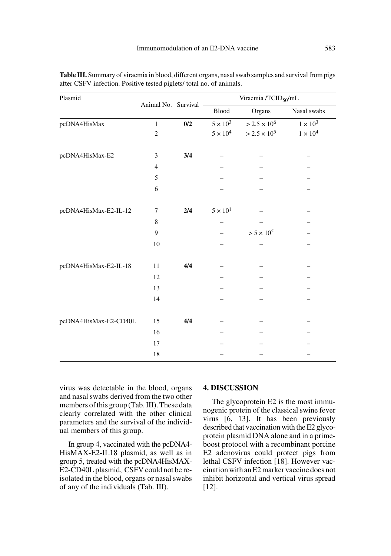| Plasmid               |                       |     | Viraemia /TCID <sub>50</sub> /mL |                       |               |  |  |  |
|-----------------------|-----------------------|-----|----------------------------------|-----------------------|---------------|--|--|--|
|                       | Animal No. Survival - |     | ${\sf Blood}$                    | Organs                | Nasal swabs   |  |  |  |
| pcDNA4HisMax          | $\mathbf{1}$          | 0/2 | $5\times10^3$                    | $>2.5\times10^6$      | $1\times10^3$ |  |  |  |
|                       | $\overline{c}$        |     | $5\times10^4$                    | $> 2.5 \times 10^{5}$ | $1\times10^4$ |  |  |  |
| pcDNA4HisMax-E2       | 3                     | 3/4 |                                  |                       |               |  |  |  |
|                       | $\overline{4}$        |     |                                  |                       |               |  |  |  |
|                       | 5                     |     |                                  |                       |               |  |  |  |
|                       | 6                     |     |                                  |                       |               |  |  |  |
| pcDNA4HisMax-E2-IL-12 | 7                     | 2/4 | $5 \times 10^{1}$                |                       |               |  |  |  |
|                       | 8                     |     |                                  |                       |               |  |  |  |
|                       | 9                     |     |                                  | $> 5 \times 10^5$     |               |  |  |  |
|                       | 10                    |     |                                  |                       |               |  |  |  |
| pcDNA4HisMax-E2-IL-18 | 11                    | 4/4 |                                  |                       |               |  |  |  |
|                       | 12                    |     |                                  |                       |               |  |  |  |
|                       | 13                    |     |                                  |                       |               |  |  |  |
|                       | 14                    |     |                                  |                       |               |  |  |  |
| pcDNA4HisMax-E2-CD40L | 15                    | 4/4 |                                  |                       |               |  |  |  |
|                       | 16                    |     |                                  |                       |               |  |  |  |
|                       | 17                    |     |                                  |                       |               |  |  |  |
|                       | 18                    |     |                                  |                       |               |  |  |  |

**Table III.** Summary of viraemia in blood, different organs, nasal swab samples and survival from pigs after CSFV infection. Positive tested piglets/ total no. of animals.

virus was detectable in the blood, organs and nasal swabs derived from the two other members of this group (Tab. III). These data clearly correlated with the other clinical parameters and the survival of the individual members of this group.

In group 4, vaccinated with the pcDNA4- HisMAX-E2-IL18 plasmid, as well as in group 5, treated with the pcDNA4HisMAX-E2-CD40L plasmid, CSFV could not be reisolated in the blood, organs or nasal swabs of any of the individuals (Tab. III).

## **4. DISCUSSION**

The glycoprotein E2 is the most immunogenic protein of the classical swine fever virus [6, 13]. It has been previously described that vaccination with the E2 glycoprotein plasmid DNA alone and in a primeboost protocol with a recombinant porcine E2 adenovirus could protect pigs from lethal CSFV infection [18]. However vaccination with an E2 marker vaccine does not inhibit horizontal and vertical virus spread [12].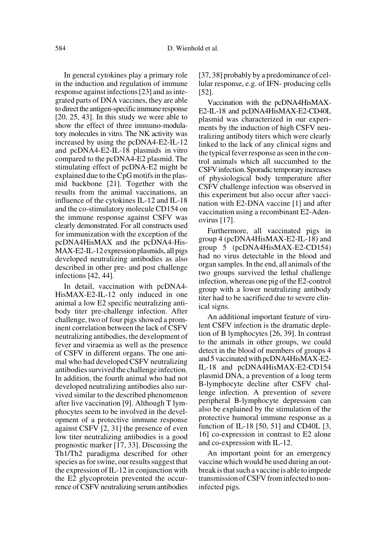In general cytokines play a primary role in the induction and regulation of immune response against infections [23] and as integrated parts of DNA vaccines, they are able to direct the antigen-specific immune response [20, 25, 43]. In this study we were able to show the effect of three immuno-modulatory molecules in vitro*.* The NK activity was increased by using the pcDNA4-E2-IL-12 and pcDNA4-E2-IL-18 plasmids in vitro compared to the pcDNA4-E2 plasmid. The stimulating effect of pcDNA-E2 might be explained due to the CpG motifs in the plasmid backbone [21]. Together with the results from the animal vaccinations, an influence of the cytokines IL-12 and IL-18 and the co-stimulatory molecule CD154 on the immune response against CSFV was clearly demonstrated. For all constructs used for immunization with the exception of the pcDNA4HisMAX and the pcDNA4-His-MAX-E2-IL-12 expression plasmids, all pigs developed neutralizing antibodies as also described in other pre- and post challenge infections [42, 44].

In detail, vaccination with pcDNA4- HisMAX-E2-IL-12 only induced in one animal a low E2 specific neutralizing antibody titer pre-challenge infection. After challenge, two of four pigs showed a prominent correlation between the lack of CSFV neutralizing antibodies, the development of fever and viraemia as well as the presence of CSFV in different organs. The one animal who had developed CSFV neutralizing antibodies survived the challenge infection. In addition, the fourth animal who had not developed neutralizing antibodies also survived similar to the described phenomenon after live vaccination [9]. Although T lymphocytes seem to be involved in the development of a protective immune response against CSFV [2, 31] the presence of even low titer neutralizing antibodies is a good prognostic marker [17, 33]. Discussing the Th1/Th2 paradigma described for other species as for swine, our results suggest that the expression of IL-12 in conjunction with the E2 glycoprotein prevented the occurrence of CSFV neutralizing serum antibodies [37, 38] probably by a predominance of cellular response, e.g. of IFN- producing cells [52].

Vaccination with the pcDNA4HisMAX-E2-IL-18 and pcDNA4HisMAX-E2-CD40L plasmid was characterized in our experiments by the induction of high CSFV neutralizing antibody titers which were clearly linked to the lack of any clinical signs and the typical fever response as seen in the control animals which all succumbed to the CSFV infection. Sporadic temporary increases of physiological body temperature after CSFV challenge infection was observed in this experiment but also occur after vaccination with E2-DNA vaccine [1] and after vaccination using a recombinant E2-Adenovirus [17].

Furthermore, all vaccinated pigs in group 4 (pcDNA4HisMAX-E2-IL-18) and group 5 (pcDNA4HisMAX-E2-CD154) had no virus detectable in the blood and organ samples. In the end, all animals of the two groups survived the lethal challenge infection, whereas one pig of the E2-control group with a lower neutralizing antibody titer had to be sacrificed due to severe clinical signs.

An additional important feature of virulent CSFV infection is the dramatic depletion of B lymphocytes [26, 39]. In contrast to the animals in other groups, we could detect in the blood of members of groups 4 and 5 vaccinated with pcDNA4HisMAX-E2- IL-18 and pcDNA4HisMAX-E2-CD154 plasmid DNA, a prevention of a long term B-lymphocyte decline after CSFV challenge infection. A prevention of severe peripheral B-lymphocyte depression can also be explained by the stimulation of the protective humoral immune response as a function of IL-18 [50, 51] and CD40L [3, 16] co-expression in contrast to E2 alone and co-expression with IL-12.

An important point for an emergency vaccine which would be used during an outbreak is that such a vaccine is able to impede transmission of CSFV from infected to noninfected pigs.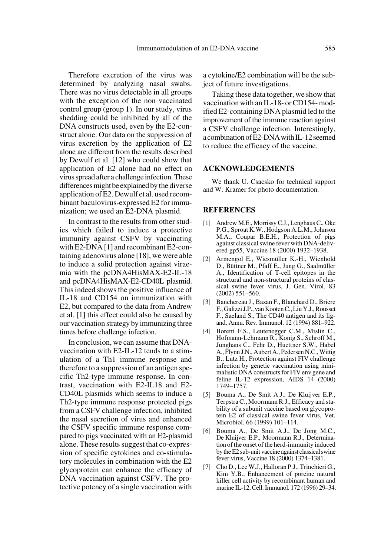Therefore excretion of the virus was determined by analyzing nasal swabs. There was no virus detectable in all groups with the exception of the non vaccinated control group (group 1). In our study, virus shedding could be inhibited by all of the DNA constructs used, even by the E2-construct alone. Our data on the suppression of virus excretion by the application of E2 alone are different from the results described by Dewulf et al. [12] who could show that application of E2 alone had no effect on virus spread after a challenge infection. These differences might be explained by the diverse application of E2. Dewulf et al. used recombinant baculovirus-expressed E2 for immunization; we used an E2-DNA plasmid.

In contrast to the results from other studies which failed to induce a protective immunity against CSFV by vaccinating with E2-DNA [1] and recombinant E2-containing adenovirus alone [18], we were able to induce a solid protection against viraemia with the pcDNA4HisMAX-E2-IL-18 and pcDNA4HisMAX-E2-CD40L plasmid. This indeed shows the positive influence of IL-18 and CD154 on immunization with E2, but compared to the data from Andrew et al. [1] this effect could also be caused by our vaccination strategy by immunizing three times before challenge infection.

In conclusion, we can assume that DNAvaccination with E2-IL-12 tends to a stimulation of a Th1 immune response and therefore to a suppression of an antigen specific Th2-type immune response. In contrast, vaccination with E2-IL18 and E2- CD40L plasmids which seems to induce a Th2-type immune response protected pigs from a CSFV challenge infection, inhibited the nasal secretion of virus and enhanced the CSFV specific immune response compared to pigs vaccinated with an E2-plasmid alone. These results suggest that co-expression of specific cytokines and co-stimulatory molecules in combination with the E2 glycoprotein can enhance the efficacy of DNA vaccination against CSFV. The protective potency of a single vaccination with

a cytokine/E2 combination will be the subject of future investigations.

Taking these data together, we show that vaccination with an IL-18- or CD154- modified E2-containing DNA plasmid led to the improvement of the immune reaction against a CSFV challenge infection. Interestingly, a combination of E2-DNA with IL-12 seemed to reduce the efficacy of the vaccine.

#### **ACKNOWLEDGEMENTS**

We thank U. Csacsko for technical support and W. Kramer for photo documentation.

### **REFERENCES**

- [1] Andrew M.E., Morrissy C.J., Lenghaus C., Oke P.G., Sproat K.W., Hodgson A.L.M., Johnson M.A., Coupar B.E.H., Protection of pigs against classical swine fever with DNA-delivered gp55, Vaccine 18 (2000) 1932–1938.
- [2] Armengol E., Wiesmüller K.-H., Wienhold D., Büttner M., Pfaff E., Jung G., Saalmüller A., Identification of T-cell epitopes in the structural and non-structural proteins of classical swine fever virus, J. Gen. Virol. 83 (2002) 551–560.
- [3] Banchereau J., Bazan F., Blanchard D., Briere F., Galizzi J.P., van Kooten C., Liu Y.J., Rousset F., Saeland S., The CD40 antigen and its ligand, Annu. Rev. Immunol. 12 (1994) 881–922.
- [4] Boretti F.S., Leutenegger C.M., Mislin C., Hofmann-Lehmann R., Konig S., Schroff M., Junghans C., Fehr D., Huettner S.W., Habel A., Flynn J.N., Aubert A., Pedersen N.C., Wittig B., Lutz H., Protection against FIV challenge infection by genetic vaccination using minimalistic DNA constructs for FIV env gene and feline IL-12 expression, AIDS 14 (2000) 1749–1757.
- [5] Bouma A., De Smit A.J., De Kluijver E.P., Terpstra C., Moormann R.J., Efficacy and stability of a subunit vaccine based on glycoprotein E2 of classical swine fever virus, Vet. Microbiol. 66 (1999) 101–114.
- [6] Bouma A., De Smit A.J., De Jong M.C., De Kluijver E.P., Moormann R.J., Determination of the onset of the herd-immunity induced by the E2 sub-unit vaccine against classical swine fever virus, Vaccine 18 (2000) 1374–1381.
- [7] Cho D., Lee W.J., Halloran P.J., Trinchieri G., Kim Y.B., Enhancement of porcine natural killer cell activity by recombinant human and murine IL-12, Cell. Immunol. 172 (1996) 29–34.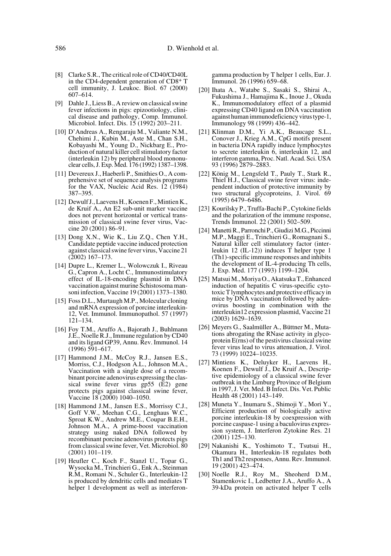- [8] Clarke S.R., The critical role of CD40/CD40L in the CD4-dependent generation of CD8+ T cell immunity, J. Leukoc. Biol. 67 (2000) 607–614.
- [9] Dahle J., Liess B., A review on classical swine fever infections in pigs: epizootiology, clinical disease and pathology, Comp. Immunol. Microbiol. Infect. Dis. 15 (1992) 203–211.
- [10] D'Andreas A., Rengaraju M., Valiante N.M., Chehimi J., Kubin M., Aste M., Chan S.H., Kobayashi M., Young D., Nickbarg E., Production of natural killer cell stimulatory factor (interleukin 12) by peripheral blood mononuclear cells, J. Exp. Med. 176 (1992) 1387–1398.
- [11] Devereux J., Haeberli P., Smithies O., A comprehensive set of sequence analysis programs for the VAX, Nucleic Acid Res. 12 (1984) 387–395.
- [12] Dewulf J., Laevens H., Koenen F., Mintien K., de Kruif A., An E2 sub-unit marker vaccine does not prevent horizontal or vertical transmission of classical swine fever virus, Vaccine 20 (2001) 86–91.
- [13] Dong X.N., Wie K., Liu Z.Q., Chen Y.H., Candidate peptide vaccine induced protection against classical swine fever virus, Vaccine 21 (2002) 167–173.
- [14] Dupre L., Kremer L., Wolowczuk I., Riveau G., Capron A., Locht C., Immunostimulatory effect of IL-18-encoding plasmid in DNA vaccination against murine Schistosoma mansoni infection, Vaccine 19 (2001) 1373–1380.
- [15] Foss D.L., Murtaugh M.P., Molecular cloning and mRNA expression of porcine interleukin-12, Vet. Immunol. Immunopathol. 57 (1997) 121–134.
- [16] Foy T.M., Aruffo A., Bajorath J., Buhlmann J.E., Noelle R.J., Immune regulation by CD40 and its ligand GP39, Annu. Rev. Immunol. 14 (1996) 591–617.
- [17] Hammond J.M., McCoy R.J., Jansen E.S., Morriss, C.J., Hodgson A.L., Johnson M.A., Vaccination with a single dose of a recombinant porcine adenovirus expressing the classical swine fever virus gp55 (E2) gene protects pigs against classical swine fever, Vaccine 18 (2000) 1040–1050.
- [18] Hammond J.M., Jansen E.S., Morrissy C.J., Goff V.W., Meehan C.G., Lenghaus W.C., Sproat K.W., Andrew M.E., Coupar B.E.H., Johnson M.A., A prime-boost vaccination strategy using naked DNA followed by recombinant porcine adenovirus protects pigs from classical swine fever, Vet. Microbiol. 80 (2001) 101–119.
- [19] Heufler C., Koch F., Stanzl U., Topar G., Wysocka M., Trinchieri G., Enk A., Steinman R.M., Romani N., Schuler G., Interleukin-12 is produced by dendritic cells and mediates T helper 1 development as well as interferon-

gamma production by T helper 1 cells, Eur. J. Immunol. 26 (1996) 659–68.

- [20] Ihata A., Watabe S., Sasaki S., Shirai A., Fukushima J., Hamajima K., Inoue J., Okuda K., Immunomodulatory effect of a plasmid expressing CD40 ligand on DNA vaccination against human immunodeficiency virus type-1, Immunology 98 (1999) 436–442.
- [21] Klinman D.M., Yi A.K., Beaucage S.L., Conover J., Krieg A.M., CpG motifs present in bacteria DNA rapidly induce lymphocytes to secrete interleukin 6, interleukin 12, and interferon gamma, Proc. Natl. Acad. Sci. USA 93 (1996) 2879–2883.
- [22] König M., Lengsfeld T., Pauly T., Stark R., Thiel H.J., Classical swine fever virus: independent induction of protective immunity by two structural glycoproteins, J. Virol. 69 (1995) 6479–6486.
- [23] Kourilsky P., Truffa-Bachi P., Cytokine fields and the polarization of the immune response, Trends Immunol. 22 (2001) 502–509.
- [24] Manetti R., Parronchi P., Giudizi M.G., Piccinni M.P., Maggi E., Trinchieri G., Romagnani S., Natural killer cell stimulatory factor (interleukin  $12$  (IL-12)) induces  $\overline{T}$  helper type 1 (Th1)-specific immune responses and inhibits the development of IL-4-producing Th cells, J. Exp. Med. 177 (1993) 1199–1204.
- [25] Matsui M., Moriya O., Akatsuka T., Enhanced induction of hepatitis C virus-specific cytotoxic T lymphocytes and protective efficacy in mice by DNA vaccination followed by adenovirus boosting in combination with the interleukin12 expression plasmid, Vaccine 21 (2003) 1629–1639.
- [26] Meyers G., Saalmüller A., Büttner M., Mutations abrogating the RNase activity in glycoprotein E(rns) of the pestivirus classical swine fever virus lead to virus attenuation, J. Virol. 73 (1999) 10224–10235.
- [27] Mintiens K., Deluyker H., Laevens H., Koenen F., Dewulf J., De Kruif A., Descriptive epidemiology of a classical swine fever outbreak in the Limburg Province of Belgium in 1997, J. Vet. Med. B Infect. Dis. Vet. Public Health 48 (2001) 143–149.
- [28] Muneta Y., Inumaru S., Shimoji Y., Mori Y., Efficient production of biologically active porcine interleukin-18 by coexpression with porcine caspase-1 using a baculovirus expression system, J. Interferon Zytokine Res. 21 (2001) 125–130.
- [29] Nakanishi K., Yoshimoto T., Tsutsui H., Okamura H., Interleukin-18 regulates both Th1 and Th2 responses, Annu. Rev. Immunol. 19 (2001) 423–474.
- [30] Noelle R.J., Roy M., Sheoherd D.M., Stamenkovic I., Ledbetter J.A., Aruffo A., A 39-kDa protein on activated helper T cells